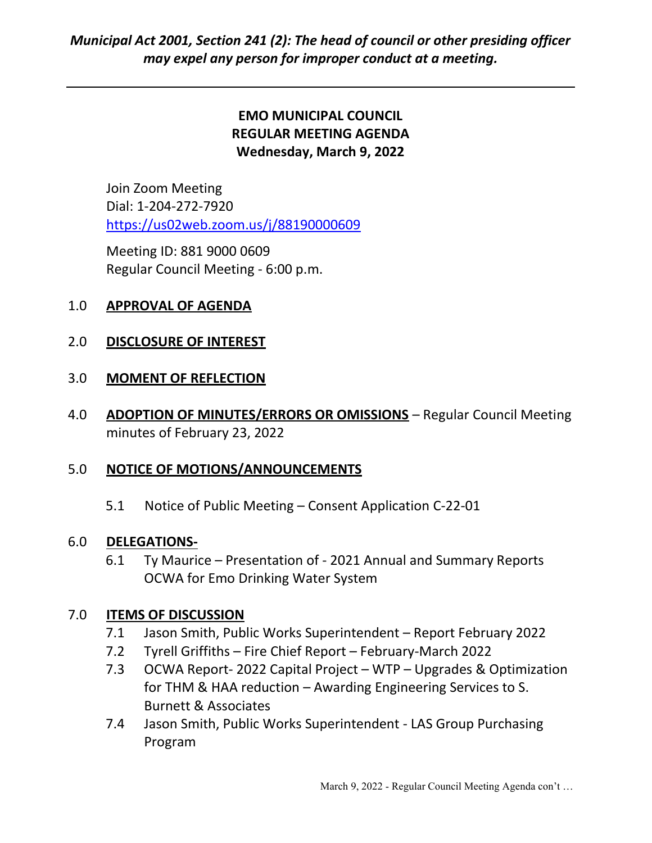# EMO MUNICIPAL COUNCIL REGULAR MEETING AGENDA Wednesday, March 9, 2022

Join Zoom Meeting Dial: 1-204-272-7920 https://us02web.zoom.us/j/88190000609

 Meeting ID: 881 9000 0609 Regular Council Meeting - 6:00 p.m.

## 1.0 APPROVAL OF AGENDA

## 2.0 DISCLOSURE OF INTEREST

#### 3.0 MOMENT OF REFLECTION

4.0 ADOPTION OF MINUTES/ERRORS OR OMISSIONS - Regular Council Meeting minutes of February 23, 2022

#### 5.0 NOTICE OF MOTIONS/ANNOUNCEMENTS

5.1 Notice of Public Meeting – Consent Application C-22-01

#### 6.0 DELEGATIONS-

6.1 Ty Maurice – Presentation of - 2021 Annual and Summary Reports OCWA for Emo Drinking Water System

#### 7.0 ITEMS OF DISCUSSION

- 7.1 Jason Smith, Public Works Superintendent Report February 2022
- 7.2 Tyrell Griffiths Fire Chief Report February-March 2022
- 7.3 OCWA Report- 2022 Capital Project WTP Upgrades & Optimization for THM & HAA reduction – Awarding Engineering Services to S. Burnett & Associates
- 7.4 Jason Smith, Public Works Superintendent LAS Group Purchasing Program